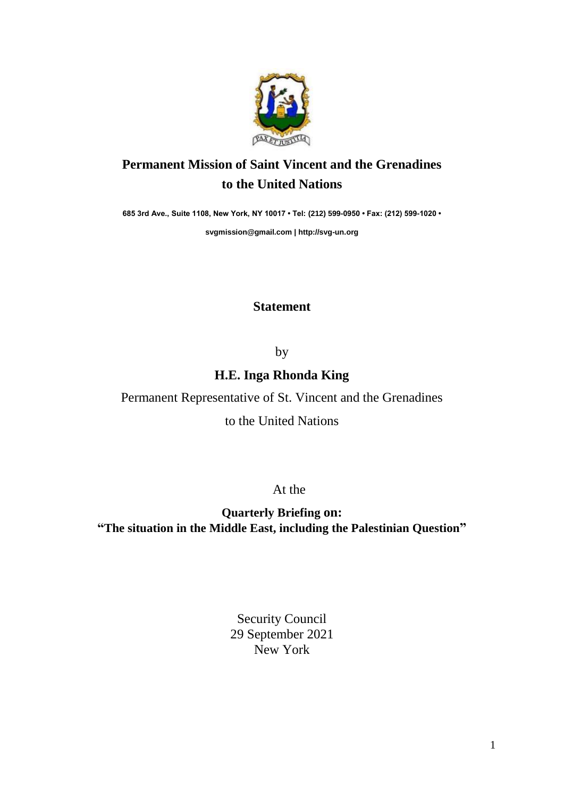

## **Permanent Mission of Saint Vincent and the Grenadines to the United Nations**

**685 3rd Ave., Suite 1108, New York, NY 10017 • Tel: (212) 599-0950 • Fax: (212) 599-1020 •** 

**[svgmission@gmail.com](mailto:svgmission@gmail.com) | [http://svg-un.org](http://svg-un.org/)**

## **Statement**

by

**H.E. Inga Rhonda King** 

Permanent Representative of St. Vincent and the Grenadines

to the United Nations

At the

**Quarterly Briefing on: "The situation in the Middle East, including the Palestinian Question"**

> Security Council 29 September 2021 New York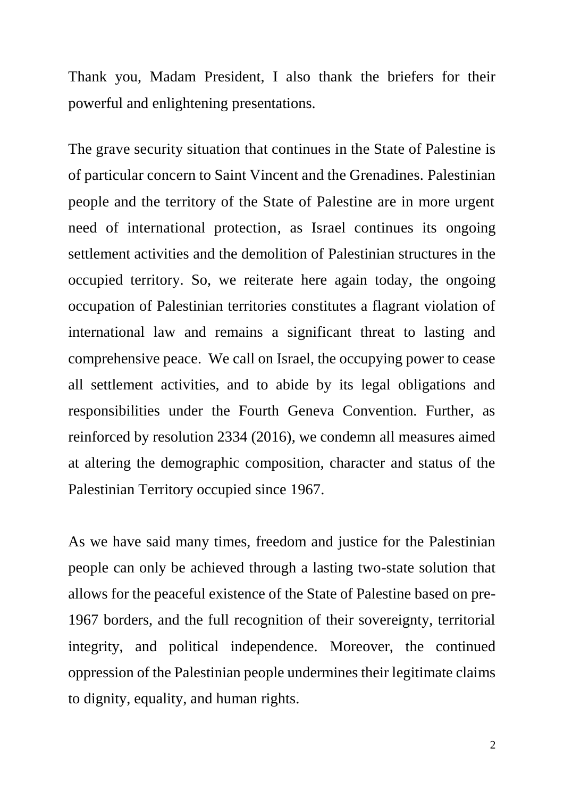Thank you, Madam President, I also thank the briefers for their powerful and enlightening presentations.

The grave security situation that continues in the State of Palestine is of particular concern to Saint Vincent and the Grenadines. Palestinian people and the territory of the State of Palestine are in more urgent need of international protection, as Israel continues its ongoing settlement activities and the demolition of Palestinian structures in the occupied territory. So, we reiterate here again today, the ongoing occupation of Palestinian territories constitutes a flagrant violation of international law and remains a significant threat to lasting and comprehensive peace. We call on Israel, the occupying power to cease all settlement activities, and to abide by its legal obligations and responsibilities under the Fourth Geneva Convention. Further, as reinforced by resolution 2334 (2016), we condemn all measures aimed at altering the demographic composition, character and status of the Palestinian Territory occupied since 1967.

As we have said many times, freedom and justice for the Palestinian people can only be achieved through a lasting two-state solution that allows for the peaceful existence of the State of Palestine based on pre-1967 borders, and the full recognition of their sovereignty, territorial integrity, and political independence. Moreover, the continued oppression of the Palestinian people undermines their legitimate claims to dignity, equality, and human rights.